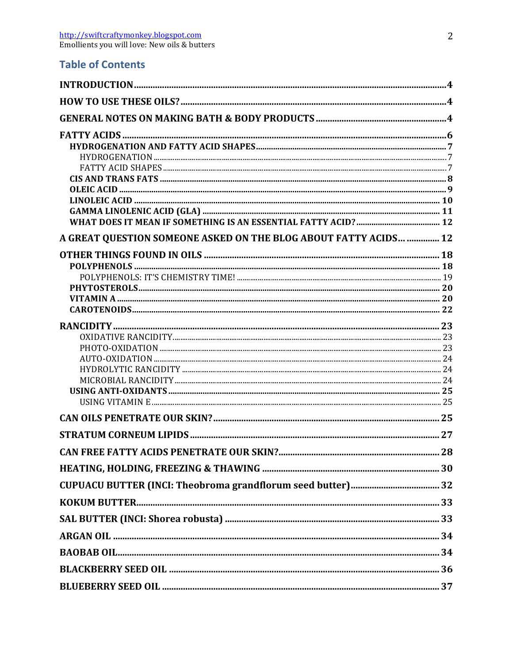## **Table of Contents**

| A GREAT QUESTION SOMEONE ASKED ON THE BLOG ABOUT FATTY ACIDS  12 |    |
|------------------------------------------------------------------|----|
|                                                                  |    |
|                                                                  |    |
|                                                                  |    |
|                                                                  |    |
|                                                                  |    |
|                                                                  |    |
|                                                                  |    |
|                                                                  |    |
|                                                                  |    |
|                                                                  |    |
|                                                                  |    |
|                                                                  |    |
|                                                                  |    |
|                                                                  |    |
| CAN FREE FATTY ACIDS PENETRATE OUR SKIN?.                        | 28 |
|                                                                  |    |
|                                                                  |    |
|                                                                  |    |
|                                                                  |    |
|                                                                  |    |
|                                                                  |    |
|                                                                  |    |
|                                                                  |    |